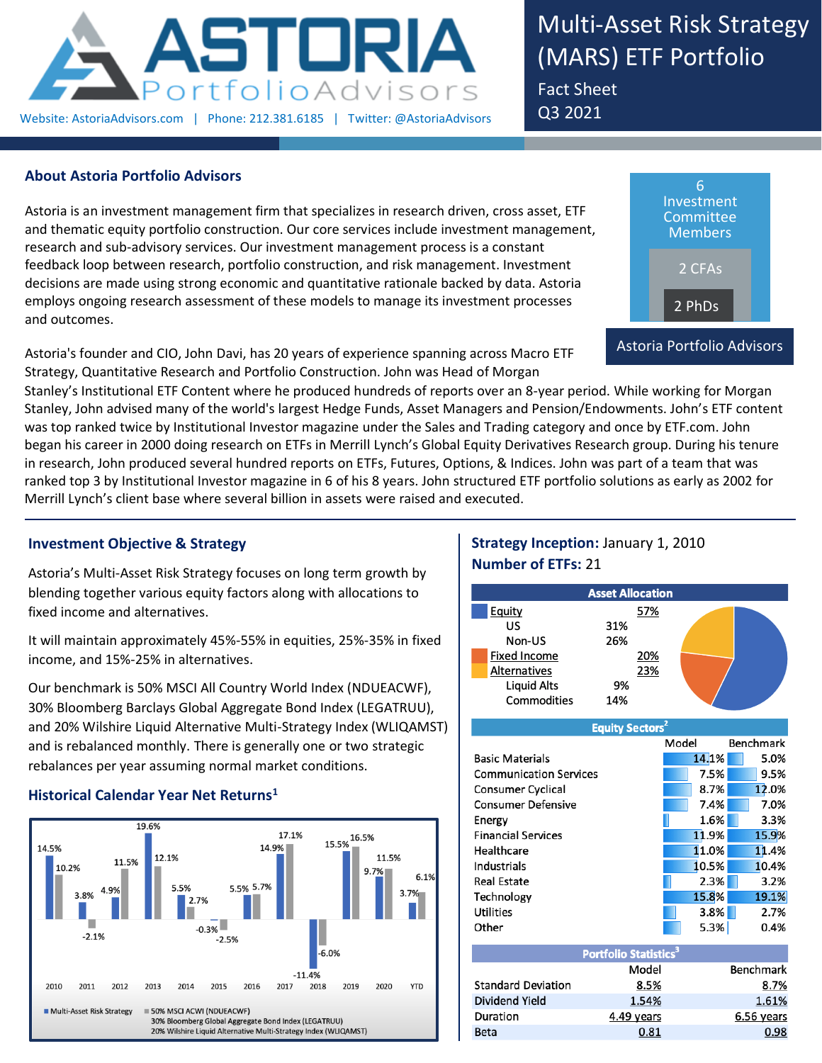

Multi-Asset Risk Strategy (MARS) ETF Portfolio Fact Sheet Q3 2021

## **About Astoria Portfolio Advisors**

Astoria is an investment management firm that specializes in research driven, cross asset, ETF and thematic equity portfolio construction. Our core services include investment management, research and sub-advisory services. Our investment management process is a constant feedback loop between research, portfolio construction, and risk management. Investment decisions are made using strong economic and quantitative rationale backed by data. Astoria employs ongoing research assessment of these models to manage its investment processes and outcomes.

Astoria's founder and CIO, John Davi, has 20 years of experience spanning across Macro ETF Strategy, Quantitative Research and Portfolio Construction. John was Head of Morgan



Stanley's Institutional ETF Content where he produced hundreds of reports over an 8-year period. While working for Morgan Stanley, John advised many of the world's largest Hedge Funds, Asset Managers and Pension/Endowments. John's ETF content was top ranked twice by Institutional Investor magazine under the Sales and Trading category and once by ETF.com. John began his career in 2000 doing research on ETFs in Merrill Lynch's Global Equity Derivatives Research group. During his tenure in research, John produced several hundred reports on ETFs, Futures, Options, & Indices. John was part of a team that was ranked top 3 by Institutional Investor magazine in 6 of his 8 years. John structured ETF portfolio solutions as early as 2002 for Merrill Lynch's client base where several billion in assets were raised and executed.

## **Investment Objective & Strategy**

Astoria's Multi-Asset Risk Strategy focuses on long term growth by blending together various equity factors along with allocations to fixed income and alternatives.

It will maintain approximately 45%-55% in equities, 25%-35% in fixed income, and 15%-25% in alternatives.

Our benchmark is 50% MSCI All Country World Index (NDUEACWF), 30% Bloomberg Barclays Global Aggregate Bond Index (LEGATRUU), and 20% Wilshire Liquid Alternative Multi-Strategy Index (WLIQAMST) and is rebalanced monthly. There is generally one or two strategic rebalances per year assuming normal market conditions.

## **Historical Calendar Year Net Returns<sup>1</sup>**



# **Strategy Inception:** January 1, 2010 **Number of ETFs:** 21

| <b>Asset Allocation</b> |     |  |  |  |  |  |  |
|-------------------------|-----|--|--|--|--|--|--|
| Equity                  | 57% |  |  |  |  |  |  |
| US                      | 31% |  |  |  |  |  |  |
| Non-US                  | 26% |  |  |  |  |  |  |
| <b>Fixed Income</b>     | 20% |  |  |  |  |  |  |
| Alternatives            | 23% |  |  |  |  |  |  |
| <b>Liquid Alts</b>      | 9%  |  |  |  |  |  |  |
| Commodities             | 14% |  |  |  |  |  |  |

|                               | <b>Equity Sectors</b>                   |       |                  |
|-------------------------------|-----------------------------------------|-------|------------------|
|                               |                                         | Model | Benchmark        |
| <b>Basic Materials</b>        |                                         | 14.1% | 5.0%             |
| <b>Communication Services</b> |                                         | 7.5%  | 9.5%             |
| <b>Consumer Cyclical</b>      |                                         | 8.7%  | 12.0%            |
| <b>Consumer Defensive</b>     |                                         | 7.4%  | 7.0%             |
| Energy                        |                                         | 1.6%  | 3.3%             |
| <b>Financial Services</b>     |                                         | 11.9% | 15.9%            |
| Healthcare                    |                                         | 11.0% | 11.4%            |
| Industrials                   |                                         | 10.5% | 10.4%            |
| <b>Real Estate</b>            |                                         | 2.3%  | 3.2%             |
| Technology                    |                                         | 15.8% | 19.1%            |
| <b>Utilities</b>              |                                         | 3.8%  | 2.7%             |
| Other                         |                                         | 5.3%  | 0.4%             |
|                               |                                         |       |                  |
|                               | <b>Portfolio Statistics<sup>3</sup></b> |       |                  |
|                               | Model                                   |       | <b>Benchmark</b> |
| <b>Standard Deviation</b>     | 8.5%                                    |       | 8.7%             |
| Dividend Yield                | 1.54%                                   |       | 1.61%            |
| Duration                      | 4.49 years                              |       | 6.56 years       |
| <b>Beta</b>                   | 0.81                                    |       | 0.98             |